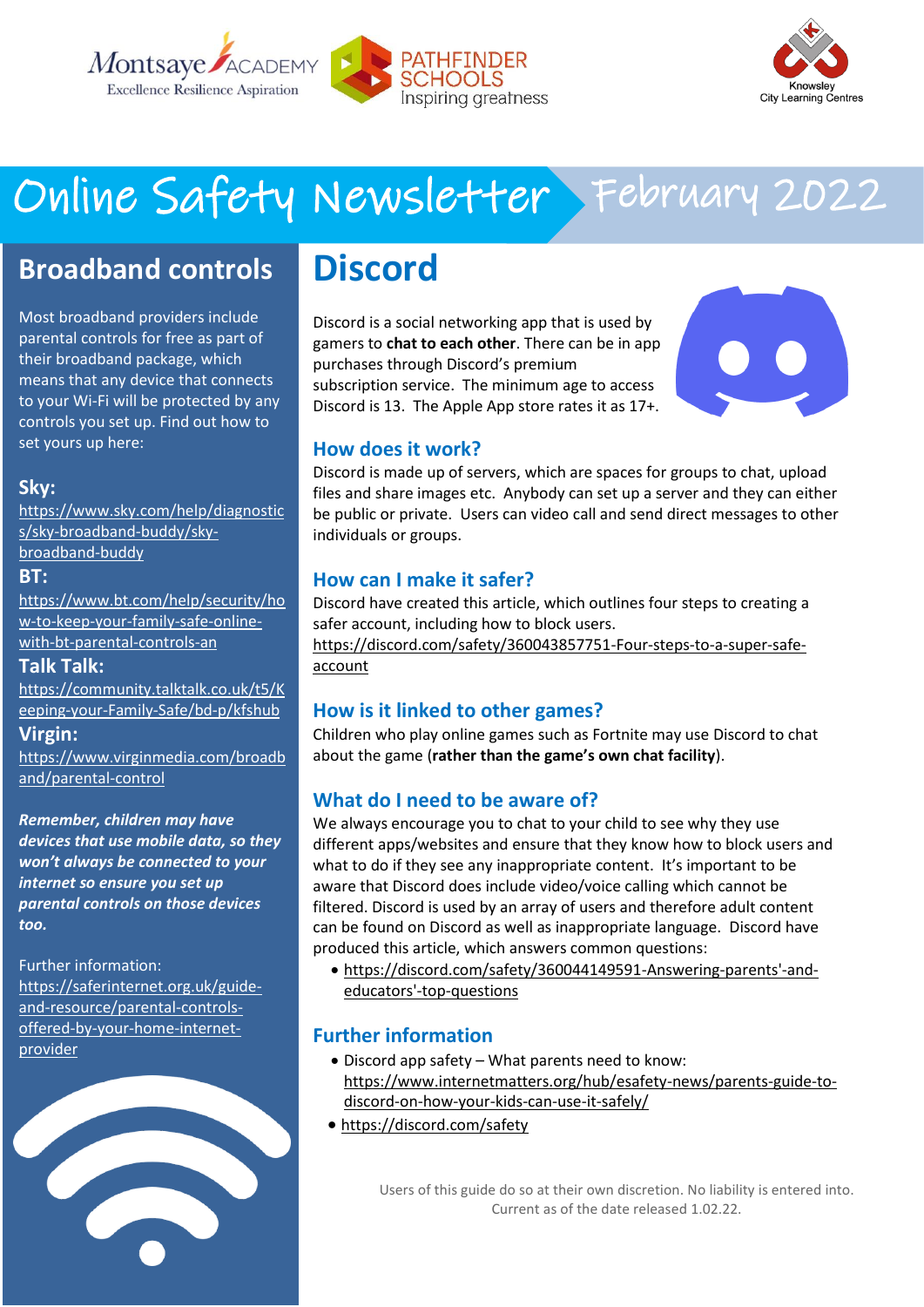



## Online Safety Newsletter February 2022

## **Broadband controls**

Most broadband providers include parental controls for free as part of their broadband package, which means that any device that connects to your Wi-Fi will be protected by any controls you set up. Find out how to set yours up here:

### **Sky:**

[https://www.sky.com/help/diagnostic](https://www.sky.com/help/diagnostics/sky-broadband-buddy/sky-broadband-buddy) [s/sky-broadband-buddy/sky](https://www.sky.com/help/diagnostics/sky-broadband-buddy/sky-broadband-buddy)[broadband-buddy](https://www.sky.com/help/diagnostics/sky-broadband-buddy/sky-broadband-buddy)

#### **BT:**

[https://www.bt.com/help/security/ho](https://www.bt.com/help/security/how-to-keep-your-family-safe-online-with-bt-parental-controls-an) [w-to-keep-your-family-safe-online](https://www.bt.com/help/security/how-to-keep-your-family-safe-online-with-bt-parental-controls-an)[with-bt-parental-controls-an](https://www.bt.com/help/security/how-to-keep-your-family-safe-online-with-bt-parental-controls-an)

### **Talk Talk:**

[https://community.talktalk.co.uk/t5/K](https://community.talktalk.co.uk/t5/Keeping-your-Family-Safe/bd-p/kfshub) [eeping-your-Family-Safe/bd-p/kfshub](https://community.talktalk.co.uk/t5/Keeping-your-Family-Safe/bd-p/kfshub)

### **Virgin:**

[https://www.virginmedia.com/broadb](https://www.virginmedia.com/broadband/parental-control) [and/parental-control](https://www.virginmedia.com/broadband/parental-control)

*Remember, children may have devices that use mobile data, so they won't always be connected to your internet so ensure you set up parental controls on those devices too.*

#### Further information:

[https://saferinternet.org.uk/guide](https://saferinternet.org.uk/guide-and-resource/parental-controls-offered-by-your-home-internet-provider)[and-resource/parental-controls](https://saferinternet.org.uk/guide-and-resource/parental-controls-offered-by-your-home-internet-provider)[offered-by-your-home-internet](https://saferinternet.org.uk/guide-and-resource/parental-controls-offered-by-your-home-internet-provider)[provider](https://saferinternet.org.uk/guide-and-resource/parental-controls-offered-by-your-home-internet-provider)



## **Discord**

Discord is a social networking app that is used by gamers to **chat to each other**. There can be in app purchases through Discord's premium subscription service. The minimum age to access Discord is 13. The Apple App store rates it as 17+.



### **How does it work?**

Discord is made up of servers, which are spaces for groups to chat, upload files and share images etc. Anybody can set up a server and they can either be public or private. Users can video call and send direct messages to other individuals or groups.

### **How can I make it safer?**

Discord have created this article, which outlines four steps to creating a safer account, including how to block users.

[https://discord.com/safety/360043857751-Four-steps-to-a-super-safe](https://discord.com/safety/360043857751-Four-steps-to-a-super-safe-account)[account](https://discord.com/safety/360043857751-Four-steps-to-a-super-safe-account)

### **How is it linked to other games?**

Children who play online games such as Fortnite may use Discord to chat about the game (**rather than the game's own chat facility**).

### **What do I need to be aware of?**

We always encourage you to chat to your child to see why they use different apps/websites and ensure that they know how to block users and what to do if they see any inappropriate content. It's important to be aware that Discord does include video/voice calling which cannot be filtered. Discord is used by an array of users and therefore adult content can be found on Discord as well as inappropriate language. Discord have produced this article, which answers common questions:

• [https://discord.com/safety/360044149591-Answering-parents'-and](https://discord.com/safety/360044149591-Answering-parents)[educators'-top-questions](https://discord.com/safety/360044149591-Answering-parents) 

### **Further information**

- Discord app safety What parents need to know: [https://www.internetmatters.org/hub/esafety-news/parents-guide-to](https://www.internetmatters.org/hub/esafety-news/parents-guide-to-discord-on-how-your-kids-can-use-it-safely/)[discord-on-how-your-kids-can-use-it-safely/](https://www.internetmatters.org/hub/esafety-news/parents-guide-to-discord-on-how-your-kids-can-use-it-safely/)
- <https://discord.com/safety>

Users of this guide do so at their own discretion. No liability is entered into. Current as of the date released 1.02.22.